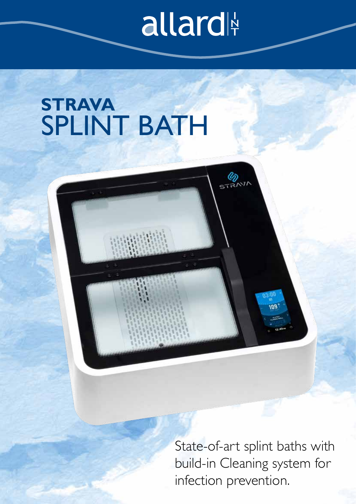## allard

**ETRANT** 

## **STRAVA**  SPLINT BATH

State-of-art splint baths with build-in Cleaning system for infection prevention.

eor